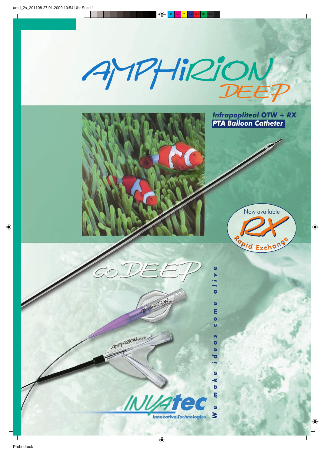



GO DE EP

AMPHI2ION DEEP

**ALIBRARY OF** 





 $\bullet$  $\blacktriangleright$ ÷ ō  $\bullet$ E  $\bullet$  $\overline{Q}$  $\mathbf{v}$ ō  $\bullet$ ಶ  $\bullet$ ×  $\bullet$ Ε  $\bullet$